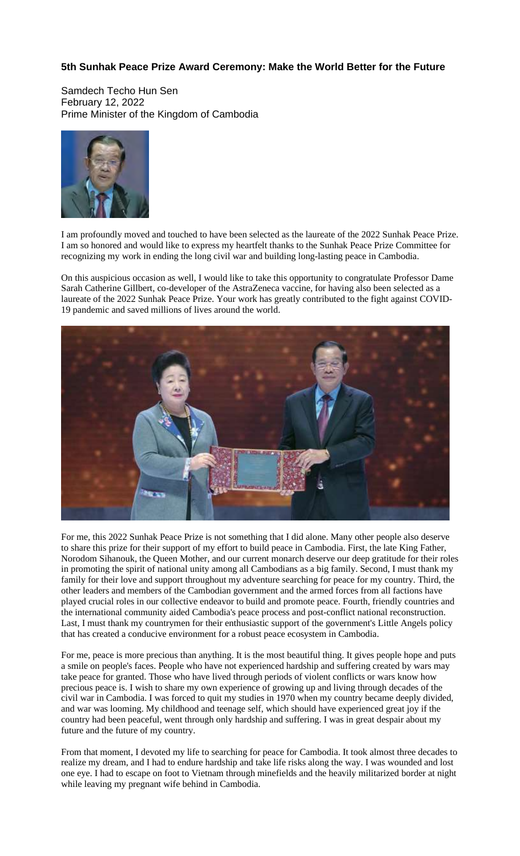## **5th Sunhak Peace Prize Award Ceremony: Make the World Better for the Future**

Samdech Techo Hun Sen February 12, 2022 Prime Minister of the Kingdom of Cambodia



I am profoundly moved and touched to have been selected as the laureate of the 2022 Sunhak Peace Prize. I am so honored and would like to express my heartfelt thanks to the Sunhak Peace Prize Committee for recognizing my work in ending the long civil war and building long-lasting peace in Cambodia.

On this auspicious occasion as well, I would like to take this opportunity to congratulate Professor Dame Sarah Catherine Gillbert, co-developer of the AstraZeneca vaccine, for having also been selected as a laureate of the 2022 Sunhak Peace Prize. Your work has greatly contributed to the fight against COVID-19 pandemic and saved millions of lives around the world.



For me, this 2022 Sunhak Peace Prize is not something that I did alone. Many other people also deserve to share this prize for their support of my effort to build peace in Cambodia. First, the late King Father, Norodom Sihanouk, the Queen Mother, and our current monarch deserve our deep gratitude for their roles in promoting the spirit of national unity among all Cambodians as a big family. Second, I must thank my family for their love and support throughout my adventure searching for peace for my country. Third, the other leaders and members of the Cambodian government and the armed forces from all factions have played crucial roles in our collective endeavor to build and promote peace. Fourth, friendly countries and the international community aided Cambodia's peace process and post-conflict national reconstruction. Last, I must thank my countrymen for their enthusiastic support of the government's Little Angels policy that has created a conducive environment for a robust peace ecosystem in Cambodia.

For me, peace is more precious than anything. It is the most beautiful thing. It gives people hope and puts a smile on people's faces. People who have not experienced hardship and suffering created by wars may take peace for granted. Those who have lived through periods of violent conflicts or wars know how precious peace is. I wish to share my own experience of growing up and living through decades of the civil war in Cambodia. I was forced to quit my studies in 1970 when my country became deeply divided, and war was looming. My childhood and teenage self, which should have experienced great joy if the country had been peaceful, went through only hardship and suffering. I was in great despair about my future and the future of my country.

From that moment, I devoted my life to searching for peace for Cambodia. It took almost three decades to realize my dream, and I had to endure hardship and take life risks along the way. I was wounded and lost one eye. I had to escape on foot to Vietnam through minefields and the heavily militarized border at night while leaving my pregnant wife behind in Cambodia.